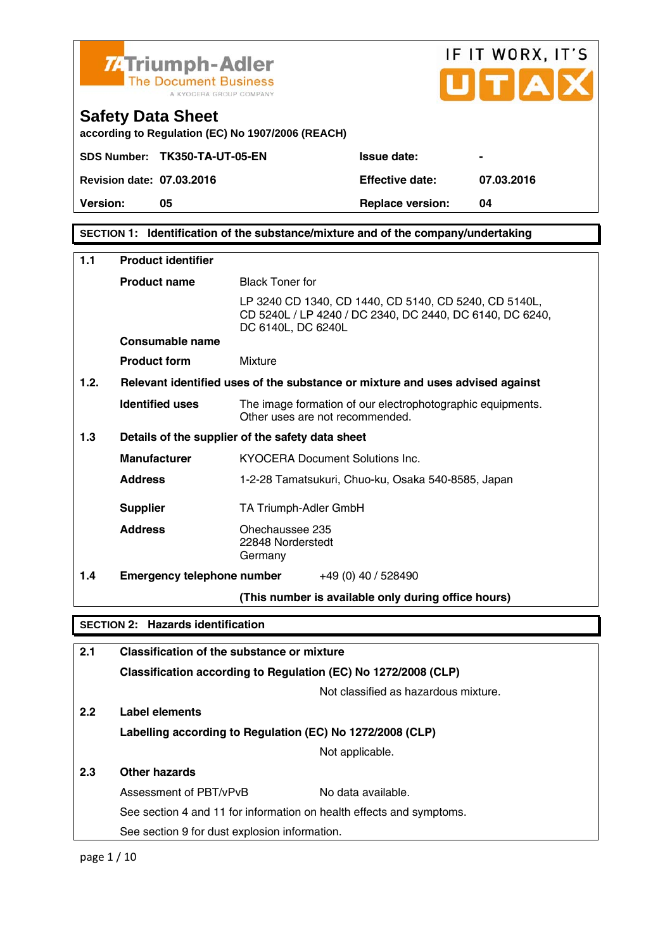

**Version:** 05 **Replace version:** 04

**SECTION 1: Identification of the substance/mixture and of the company/undertaking** 

| 1.1  | <b>Product identifier</b>                                                                                    |                                                                                                                                         |  |
|------|--------------------------------------------------------------------------------------------------------------|-----------------------------------------------------------------------------------------------------------------------------------------|--|
|      | <b>Product name</b>                                                                                          | <b>Black Toner for</b>                                                                                                                  |  |
|      |                                                                                                              | LP 3240 CD 1340, CD 1440, CD 5140, CD 5240, CD 5140L,<br>CD 5240L / LP 4240 / DC 2340, DC 2440, DC 6140, DC 6240,<br>DC 6140L, DC 6240L |  |
|      | Consumable name                                                                                              |                                                                                                                                         |  |
|      | <b>Product form</b>                                                                                          | Mixture                                                                                                                                 |  |
| 1.2. |                                                                                                              | Relevant identified uses of the substance or mixture and uses advised against                                                           |  |
|      | <b>Identified uses</b>                                                                                       | The image formation of our electrophotographic equipments.<br>Other uses are not recommended.                                           |  |
| 1.3  |                                                                                                              | Details of the supplier of the safety data sheet                                                                                        |  |
|      | <b>Manufacturer</b>                                                                                          | <b>KYOCERA Document Solutions Inc.</b>                                                                                                  |  |
|      | <b>Address</b>                                                                                               | 1-2-28 Tamatsukuri, Chuo-ku, Osaka 540-8585, Japan                                                                                      |  |
|      | <b>Supplier</b>                                                                                              | TA Triumph-Adler GmbH                                                                                                                   |  |
|      | <b>Address</b>                                                                                               | Ohechaussee 235<br>22848 Norderstedt<br>Germany                                                                                         |  |
| 1.4  |                                                                                                              | <b>Emergency telephone number</b> $+49(0)$ 40 / 528490                                                                                  |  |
|      |                                                                                                              | (This number is available only during office hours)                                                                                     |  |
|      | <b>SECTION 2: Hazards identification</b>                                                                     |                                                                                                                                         |  |
| 2.1  |                                                                                                              |                                                                                                                                         |  |
|      | Classification of the substance or mixture<br>Classification according to Regulation (EC) No 1272/2008 (CLP) |                                                                                                                                         |  |
|      |                                                                                                              | Not classified as hazardous mixture.                                                                                                    |  |
|      |                                                                                                              |                                                                                                                                         |  |
| 2.2  | Label elements                                                                                               |                                                                                                                                         |  |

**Labelling according to Regulation (EC) No 1272/2008 (CLP)**

Not applicable.

# **2.3 Other hazards**

| Assessment of PBT/vPvB                                               | No data available. |
|----------------------------------------------------------------------|--------------------|
| See section 4 and 11 for information on health effects and symptoms. |                    |
| See section 9 for dust explosion information.                        |                    |

page 1 / 10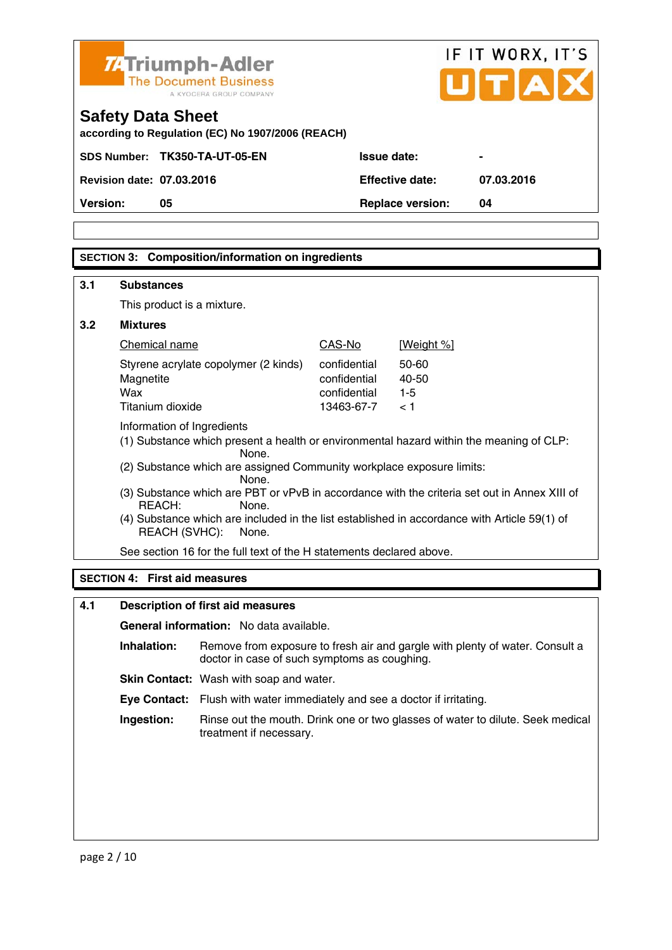

# **SECTION 3: Composition/information on ingredients**

| 3.1                                  | <b>Substances</b>                                                                                                                                                                                                                                                                                                                                                                                                                                               |                                                            |                                  |  |
|--------------------------------------|-----------------------------------------------------------------------------------------------------------------------------------------------------------------------------------------------------------------------------------------------------------------------------------------------------------------------------------------------------------------------------------------------------------------------------------------------------------------|------------------------------------------------------------|----------------------------------|--|
|                                      | This product is a mixture.                                                                                                                                                                                                                                                                                                                                                                                                                                      |                                                            |                                  |  |
| 3.2                                  | <b>Mixtures</b>                                                                                                                                                                                                                                                                                                                                                                                                                                                 |                                                            |                                  |  |
|                                      | Chemical name                                                                                                                                                                                                                                                                                                                                                                                                                                                   | CAS-No                                                     | [Weight %]                       |  |
|                                      | Styrene acrylate copolymer (2 kinds)<br>Magnetite<br>Wax<br>Titanium dioxide                                                                                                                                                                                                                                                                                                                                                                                    | confidential<br>confidential<br>confidential<br>13463-67-7 | 50-60<br>40-50<br>$1 - 5$<br>< 1 |  |
|                                      | Information of Ingredients<br>(1) Substance which present a health or environmental hazard within the meaning of CLP:<br>None.<br>(2) Substance which are assigned Community workplace exposure limits:<br>None.<br>(3) Substance which are PBT or vPvB in accordance with the criteria set out in Annex XIII of<br>$RFACH+$<br>None.<br>(4) Substance which are included in the list established in accordance with Article 59(1) of<br>REACH (SVHC):<br>None. |                                                            |                                  |  |
|                                      | See section 16 for the full text of the H statements declared above.                                                                                                                                                                                                                                                                                                                                                                                            |                                                            |                                  |  |
| <b>SECTION 4: First aid measures</b> |                                                                                                                                                                                                                                                                                                                                                                                                                                                                 |                                                            |                                  |  |

# **4.1 Description of first aid measures General information:** No data available.  **Inhalation:** Remove from exposure to fresh air and gargle with plenty of water. Consult a doctor in case of such symptoms as coughing. **Skin Contact:** Wash with soap and water.  **Eye Contact:** Flush with water immediately and see a doctor if irritating.  **Ingestion:** Rinse out the mouth. Drink one or two glasses of water to dilute. Seek medical treatment if necessary.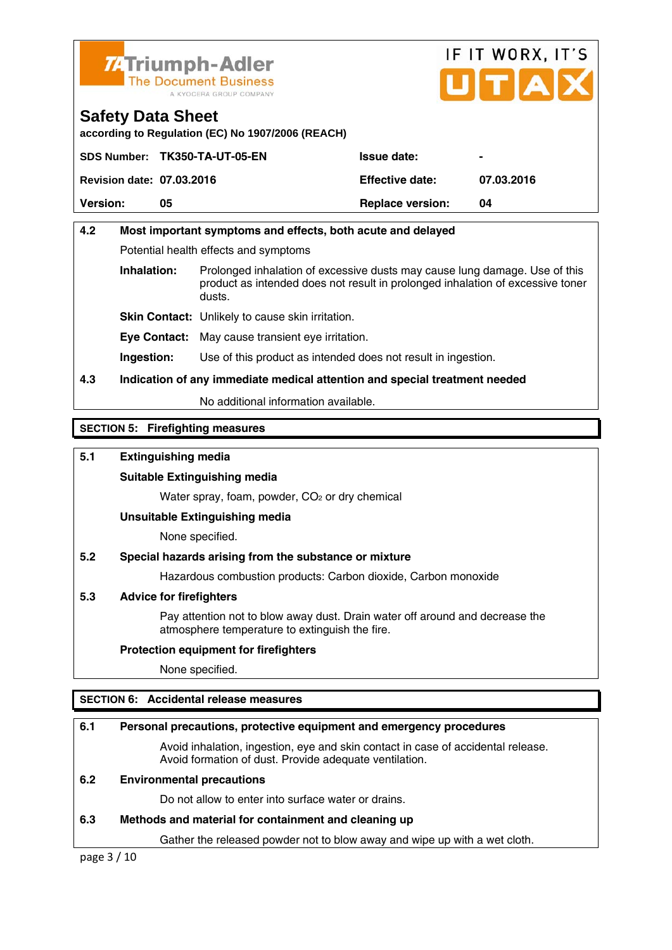

# IF IT WORX, IT'S Птіа

**Safety Data Sheet according to Regulation (EC) No 1907/2006 (REACH)** 

|                                  | SDS Number: TK350-TA-UT-05-EN | <b>Issue date:</b>      | $\blacksquare$ |
|----------------------------------|-------------------------------|-------------------------|----------------|
| <b>Revision date: 07.03.2016</b> |                               | <b>Effective date:</b>  | 07.03.2016     |
| <b>Version:</b>                  | 05                            | <b>Replace version:</b> | 04             |

# **4.2 Most important symptoms and effects, both acute and delayed**  Potential health effects and symptoms **Inhalation:** Prolonged inhalation of excessive dusts may cause lung damage. Use of this product as intended does not result in prolonged inhalation of excessive toner dusts. **Skin Contact:** Unlikely to cause skin irritation.

**Eye Contact:** May cause transient eye irritation.

**Ingestion:** Use of this product as intended does not result in ingestion.

# **4.3 Indication of any immediate medical attention and special treatment needed**

No additional information available.

# **SECTION 5: Firefighting measures**

# **5.1 Extinguishing media**

#### **Suitable Extinguishing media**

Water spray, foam, powder, CO<sub>2</sub> or dry chemical

#### **Unsuitable Extinguishing media**

None specified.

# **5.2 Special hazards arising from the substance or mixture**

Hazardous combustion products: Carbon dioxide, Carbon monoxide

# **5.3 Advice for firefighters**

 Pay attention not to blow away dust. Drain water off around and decrease the atmosphere temperature to extinguish the fire.

#### **Protection equipment for firefighters**

None specified.

# **SECTION 6: Accidental release measures**

# **6.1 Personal precautions, protective equipment and emergency procedures**

 Avoid inhalation, ingestion, eye and skin contact in case of accidental release. Avoid formation of dust. Provide adequate ventilation.

#### **6.2 Environmental precautions**

Do not allow to enter into surface water or drains.

# **6.3 Methods and material for containment and cleaning up**

Gather the released powder not to blow away and wipe up with a wet cloth.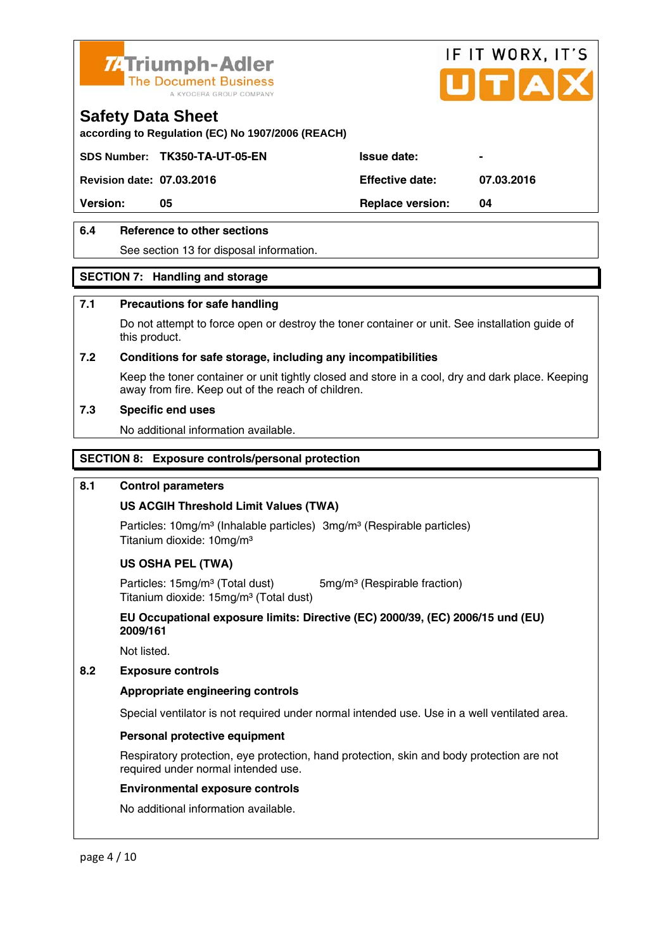

**according to Regulation (EC) No 1907/2006 (REACH)** 

SDS Number: TK350-TA-UT-05-EN ISSue date:

**Revision date: 07.03.2016 Effective date: 07.03.2016** 

IF IT WORX, IT'S

**Version:** 05 **Replace version:** 04

# **6.4 Reference to other sections**

See section 13 for disposal information.

# **SECTION 7: Handling and storage**

# **7.1 Precautions for safe handling**

 Do not attempt to force open or destroy the toner container or unit. See installation guide of this product.

## **7.2 Conditions for safe storage, including any incompatibilities**

Keep the toner container or unit tightly closed and store in a cool, dry and dark place. Keeping away from fire. Keep out of the reach of children.

## **7.3 Specific end uses**

No additional information available.

# **SECTION 8: Exposure controls/personal protection**

#### **8.1 Control parameters**

# **US ACGIH Threshold Limit Values (TWA)**

Particles: 10mg/m<sup>3</sup> (Inhalable particles) 3mg/m<sup>3</sup> (Respirable particles) Titanium dioxide: 10mg/m³

# **US OSHA PEL (TWA)**

Particles: 15mg/m<sup>3</sup> (Total dust) 5mg/m<sup>3</sup> (Respirable fraction) Titanium dioxide: 15mg/m<sup>3</sup> (Total dust)

 **EU Occupational exposure limits: Directive (EC) 2000/39, (EC) 2006/15 und (EU) 2009/161** 

Not listed.

# **8.2 Exposure controls**

# **Appropriate engineering controls**

Special ventilator is not required under normal intended use. Use in a well ventilated area.

# **Personal protective equipment**

 Respiratory protection, eye protection, hand protection, skin and body protection are not required under normal intended use.

#### **Environmental exposure controls**

No additional information available.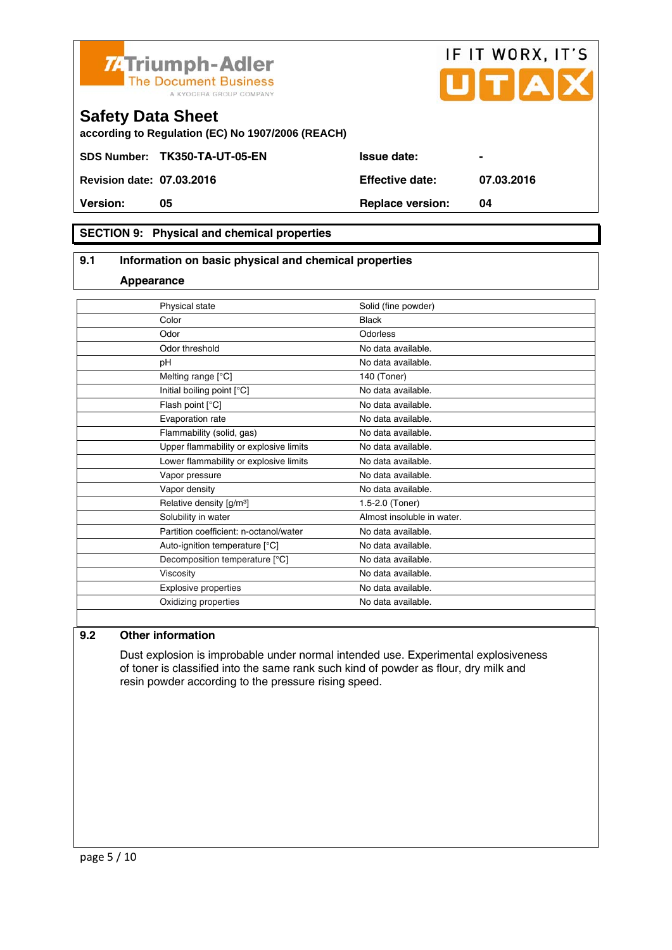



**according to Regulation (EC) No 1907/2006 (REACH)** 

SDS Number: TK350-TA-UT-05-EN Issue date:

**Revision date: 07.03.2016 Effective date: 07.03.2016** 

**Version:** 05 **Replace version:** 04

# **SECTION 9: Physical and chemical properties**

# **9.1 Information on basic physical and chemical properties**

#### **Appearance**

| Physical state                         | Solid (fine powder)        |
|----------------------------------------|----------------------------|
| Color                                  | <b>Black</b>               |
| Odor                                   | Odorless                   |
| Odor threshold                         | No data available.         |
| pH                                     | No data available.         |
| Melting range [°C]                     | 140 (Toner)                |
| Initial boiling point [°C]             | No data available.         |
| Flash point [°C]                       | No data available.         |
| Evaporation rate                       | No data available.         |
| Flammability (solid, gas)              | No data available.         |
| Upper flammability or explosive limits | No data available.         |
| Lower flammability or explosive limits | No data available.         |
| Vapor pressure                         | No data available.         |
| Vapor density                          | No data available.         |
| Relative density [g/m <sup>3</sup> ]   | 1.5-2.0 (Toner)            |
| Solubility in water                    | Almost insoluble in water. |
| Partition coefficient: n-octanol/water | No data available.         |
| Auto-ignition temperature [°C]         | No data available.         |
| Decomposition temperature [°C]         | No data available.         |
| Viscosity                              | No data available.         |
| Explosive properties                   | No data available.         |
| Oxidizing properties                   | No data available.         |
|                                        |                            |

## **9.2 Other information**

 Dust explosion is improbable under normal intended use. Experimental explosiveness of toner is classified into the same rank such kind of powder as flour, dry milk and resin powder according to the pressure rising speed.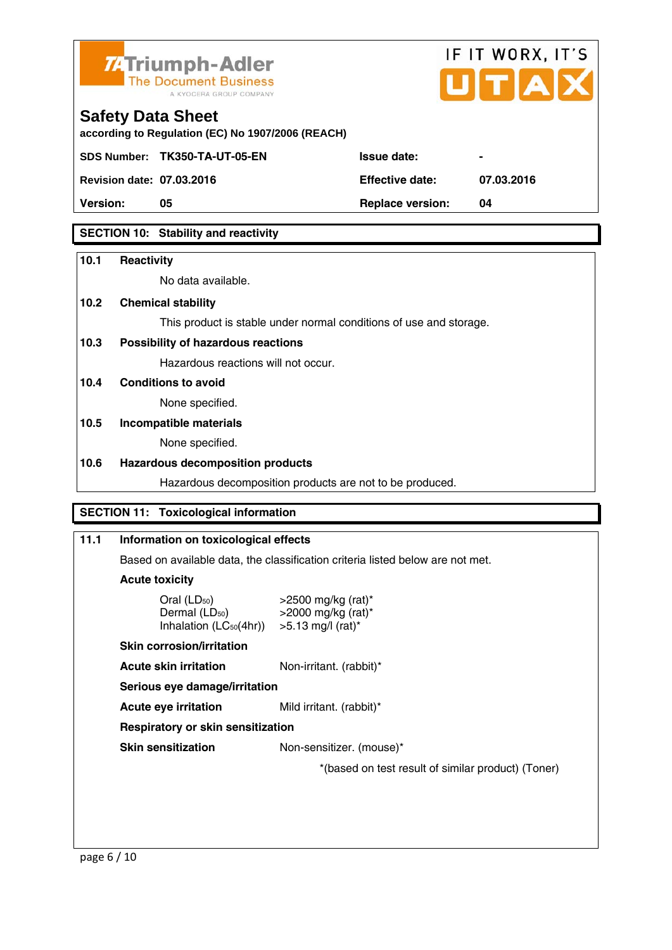

# IF IT WORX, IT'S

# **Safety Data Sheet**

**according to Regulation (EC) No 1907/2006 (REACH)** 

SDS Number: TK350-TA-UT-05-EN ISSue date:

**Revision date: 07.03.2016 Effective date: 07.03.2016** 

**Version:** 05 **Replace version:** 04

# **SECTION 10: Stability and reactivity**

# **10.1 Reactivity**

No data available.

# **10.2 Chemical stability**

This product is stable under normal conditions of use and storage.

# **10.3 Possibility of hazardous reactions**

Hazardous reactions will not occur.

# **10.4 Conditions to avoid**

None specified.

# **10.5 Incompatible materials**

None specified.

# **10.6 Hazardous decomposition products**

Hazardous decomposition products are not to be produced.

# **SECTION 11: Toxicological information**

# **11.1 Information on toxicological effects**  Based on available data, the classification criteria listed below are not met. **Acute toxicity**  Oral (LD<sub>50</sub>)  $>2500$  mg/kg (rat)\*<br>Dermal (LD<sub>50</sub>)  $>2000$  mg/kg (rat)\*  $>$ 2000 mg/kg (rat)\* Inhalation ( $\angle$ C<sub>50</sub>(4hr)) > 5.13 mg/l (rat)<sup>\*</sup>  **Skin corrosion/irritation Acute skin irritation** Non-irritant. (rabbit)\*  **Serious eye damage/irritation Acute eye irritation** Mild irritant. (rabbit)\*  **Respiratory or skin sensitization Skin sensitization** Non-sensitizer. (mouse)\* \*(based on test result of similar product) (Toner)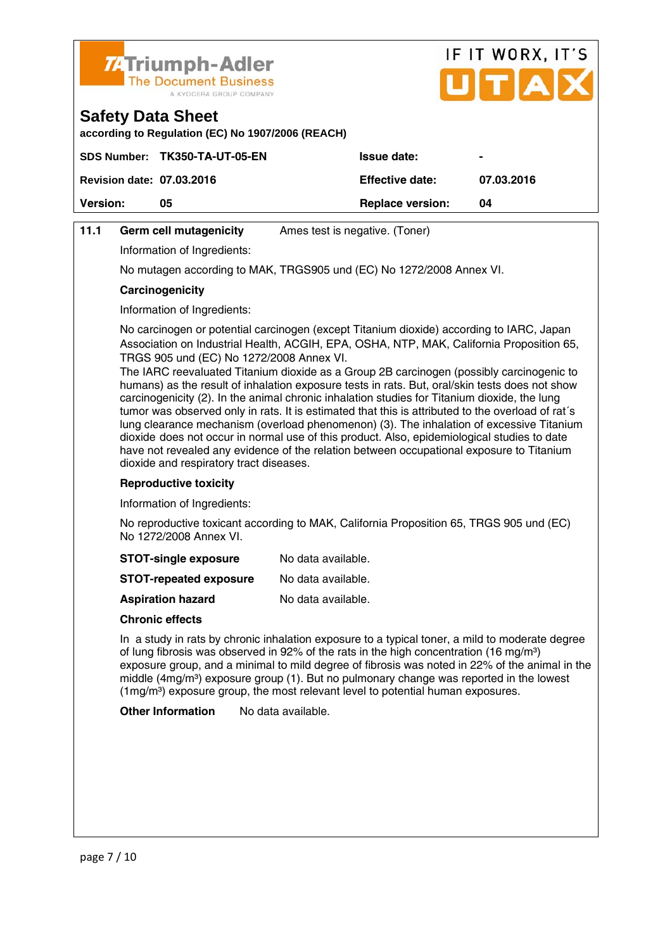

**according to Regulation (EC) No 1907/2006 (REACH)** 

|                                  | SDS Number: TK350-TA-UT-05-EN | <b>Issue date:</b>      | $\blacksquare$ |
|----------------------------------|-------------------------------|-------------------------|----------------|
| <b>Revision date: 07.03.2016</b> |                               | <b>Effective date:</b>  | 07.03.2016     |
| <b>Version:</b>                  | 05                            | <b>Replace version:</b> | 04             |
|                                  |                               |                         |                |

IF IT WORX, IT'S

Птіа

# **11.1 Germ cell mutagenicity** Ames test is negative. (Toner)

Information of Ingredients:

No mutagen according to MAK, TRGS905 und (EC) No 1272/2008 Annex VI.

#### **Carcinogenicity**

Information of Ingredients:

 No carcinogen or potential carcinogen (except Titanium dioxide) according to IARC, Japan Association on Industrial Health, ACGIH, EPA, OSHA, NTP, MAK, California Proposition 65, TRGS 905 und (EC) No 1272/2008 Annex VI.

 The IARC reevaluated Titanium dioxide as a Group 2B carcinogen (possibly carcinogenic to humans) as the result of inhalation exposure tests in rats. But, oral/skin tests does not show carcinogenicity (2). In the animal chronic inhalation studies for Titanium dioxide, the lung tumor was observed only in rats. It is estimated that this is attributed to the overload of rat´s lung clearance mechanism (overload phenomenon) (3). The inhalation of excessive Titanium dioxide does not occur in normal use of this product. Also, epidemiological studies to date have not revealed any evidence of the relation between occupational exposure to Titanium dioxide and respiratory tract diseases.

#### **Reproductive toxicity**

Information of Ingredients:

 No reproductive toxicant according to MAK, California Proposition 65, TRGS 905 und (EC) No 1272/2008 Annex VI.

| <b>STOT-single exposure</b> | No data available. |
|-----------------------------|--------------------|
|-----------------------------|--------------------|

**STOT-repeated exposure** No data available.

**Aspiration hazard** No data available.

#### **Chronic effects**

 In a study in rats by chronic inhalation exposure to a typical toner, a mild to moderate degree of lung fibrosis was observed in 92% of the rats in the high concentration (16 mg/m<sup>3</sup>) exposure group, and a minimal to mild degree of fibrosis was noted in 22% of the animal in the middle  $(4mg/m<sup>3</sup>)$  exposure group (1). But no pulmonary change was reported in the lowest  $(1 \text{mg/m}^3)$  exposure group, the most relevant level to potential human exposures.

**Other Information** No data available.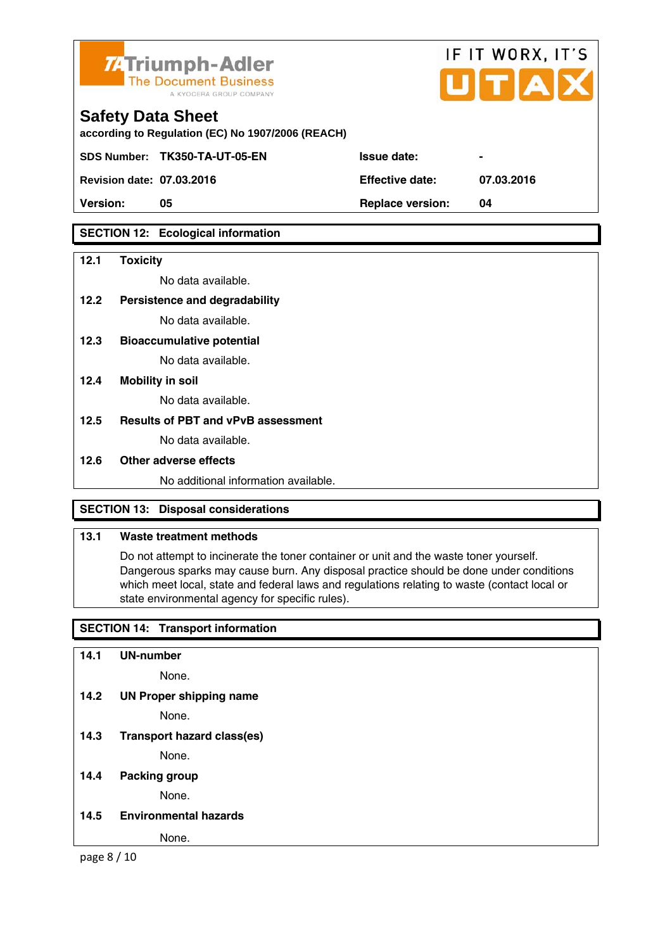

**according to Regulation (EC) No 1907/2006 (REACH)** 

SDS Number: TK350-TA-UT-05-EN ISSue date:

**Revision date: 07.03.2016 Effective date: 07.03.2016** 

**Version:** 05 **Replace version:** 04

# **SECTION 12: Ecological information**

#### **12.1 Toxicity**

No data available.

- **12.2 Persistence and degradability** No data available.
- **12.3 Bioaccumulative potential**

No data available.

**12.4 Mobility in soil** 

No data available.

**12.5 Results of PBT and vPvB assessment** 

No data available.

# **12.6 Other adverse effects**

No additional information available.

# **SECTION 13: Disposal considerations**

# **13.1 Waste treatment methods**

 Do not attempt to incinerate the toner container or unit and the waste toner yourself. Dangerous sparks may cause burn. Any disposal practice should be done under conditions which meet local, state and federal laws and regulations relating to waste (contact local or state environmental agency for specific rules).

IF IT WORX, IT'S

 $IITIA$ 

# **SECTION 14: Transport information**

| 14.1 | <b>UN-number</b>                  |
|------|-----------------------------------|
|      | None.                             |
| 14.2 | <b>UN Proper shipping name</b>    |
|      | None.                             |
| 14.3 | <b>Transport hazard class(es)</b> |
|      | None.                             |
| 14.4 | <b>Packing group</b>              |
|      | None.                             |
| 14.5 | <b>Environmental hazards</b>      |
|      | None.                             |

page 8 / 10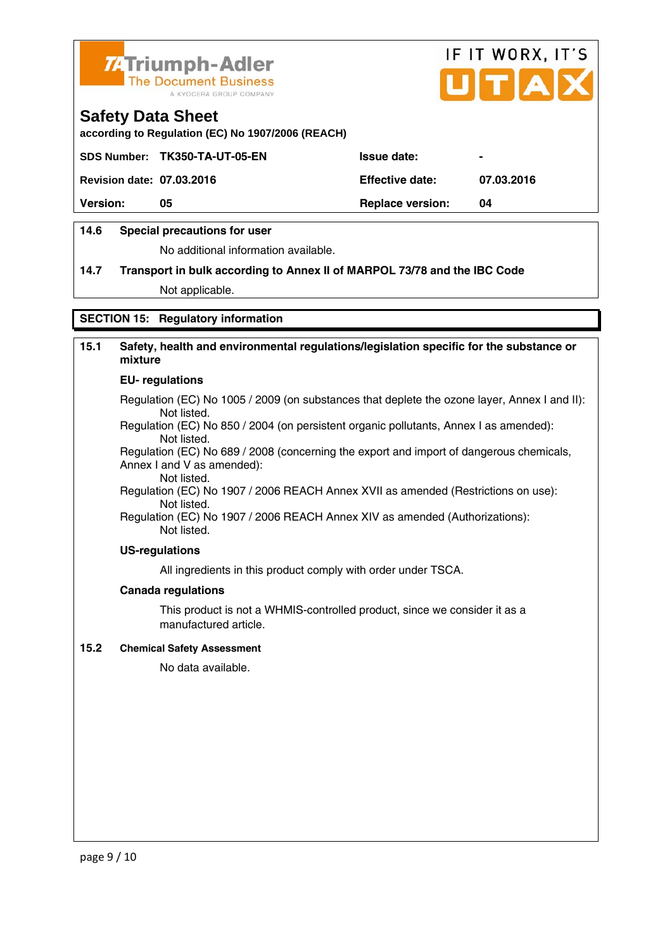

**according to Regulation (EC) No 1907/2006 (REACH)** 

|                                  | SDS Number: TK350-TA-UT-05-EN | <b>Issue date:</b>      | $\blacksquare$ |
|----------------------------------|-------------------------------|-------------------------|----------------|
| <b>Revision date: 07.03.2016</b> |                               | <b>Effective date:</b>  | 07.03.2016     |
| <b>Version:</b>                  | 05                            | <b>Replace version:</b> | 04             |
|                                  |                               |                         |                |

IF IT WORX, IT'S

Пітіа

## **14.6 Special precautions for user**

No additional information available.

# **14.7 Transport in bulk according to Annex II of MARPOL 73/78 and the IBC Code**

Not applicable.

## **SECTION 15: Regulatory information**

# **15.1 Safety, health and environmental regulations/legislation specific for the substance or mixture**

#### **EU- regulations**

Regulation (EC) No 1005 / 2009 (on substances that deplete the ozone layer, Annex I and II): Not listed.

 Regulation (EC) No 850 / 2004 (on persistent organic pollutants, Annex I as amended): Not listed.

 Regulation (EC) No 689 / 2008 (concerning the export and import of dangerous chemicals, Annex I and V as amended):

Not listed.

 Regulation (EC) No 1907 / 2006 REACH Annex XVII as amended (Restrictions on use): Not listed.

Regulation (EC) No 1907 / 2006 REACH Annex XIV as amended (Authorizations): Not listed.

#### **US-regulations**

All ingredients in this product comply with order under TSCA.

#### **Canada regulations**

 This product is not a WHMIS-controlled product, since we consider it as a manufactured article.

#### **15.2 Chemical Safety Assessment**

No data available.